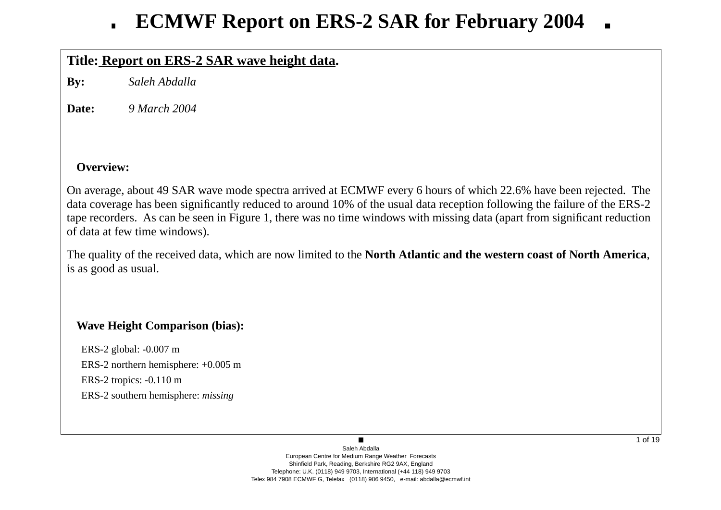# **Title: Report on ERS-2 SAR wa ve height data.**

**By:** *Saleh Abdalla*

**Date:***9 March 2004*

## **Overview:**

On average, about 49 SAR wave mode spectra arrived at ECMWF every 6 hours of which 22.6% have been rejected. The data co verage has been significantly reduced to around 10% of the usual data reception following the failure of the ERS-2 tape recorders. As can be seen in Figure 1, there was no time windows with missing data (apart from significant reduction of data at few time windows).

The quality of the recei ved data, which are now limited to the **North Atlantic and the western coast of North America**, is as good as usual.

# **Wa ve Height Comparison (bias):**

ERS-2 global: -0.007 m ERS-2 northern hemisphere: +0.005 m ERS-2 tropics: -0.110 m ERS-2 southern hemisphere: *missing*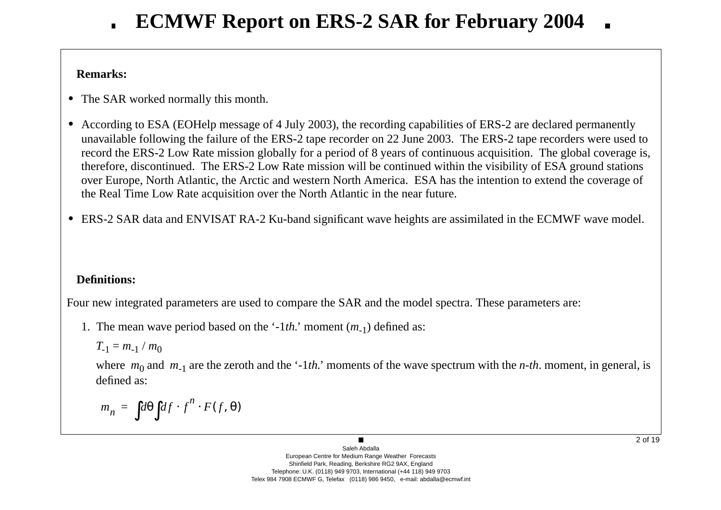# **Remarks:**

- **•** The SAR worked normally this month.
- **•** According to ESA (EOHelp message of 4 July 2003), the recording capabilities of ERS-2 are declared permanently una vailable following the failure of the ERS-2 tape recorder on 22 June 2003. The ERS-2 tape recorders were used to record the ERS-2 Low Rate mission globally for a period of 8 years of continuous acquisition. The global coverage is, therefore, discontinued. The ERS-2 Low Rate mission will be continued within the visibility of ESA ground stations o ver Europe, North Atlantic, the Arctic and western North America. ESA has the intention to extend the co verage of the Real Time Low Rate acquisition o ver the North Atlantic in the near future.
- ERS-2 SAR data and ENVISAT RA-2 Ku-band significant wave heights are assimilated in the ECMWF wave model.

# **Definitions:**

Four new integrated parameters are used to compare the SAR and the model spectra. These parameters are:

1. The mean wave period based on the '-1*th*.' moment (*m*<sub>-1</sub>) defined as:

$$
T_{-1}=m_{-1}/m_0
$$

where  $m_0$  and  $m_{-1}$  are the zeroth and the '-1*th*.' moments of the wave spectrum with the *n-th*. moment, in general, is defined as:

$$
m_n = \int d\theta \int df \cdot f^n \cdot F(f, \theta)
$$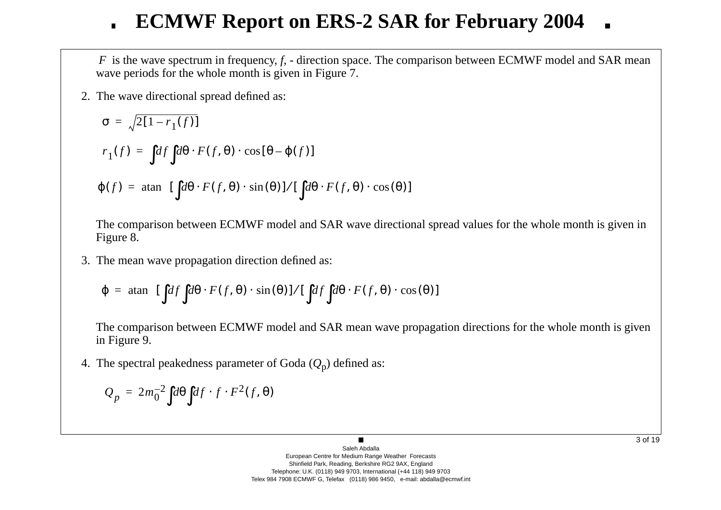*F* is the wave spectrum in frequency, *f*, - direction space. The comparison between ECMWF model and SAR mean wave periods for the whole month is given in Figure 7.

2. The w a ve directional spread defined as:

$$
\sigma = \sqrt{2[1 - r_1(f)]}
$$
  
\n
$$
r_1(f) = \int df \int d\theta \cdot F(f, \theta) \cdot \cos[\theta - \varphi(f)]
$$
  
\n
$$
\varphi(f) = \operatorname{atan} \left\{ [\int d\theta \cdot F(f, \theta) \cdot \sin(\theta)] / [\int d\theta \cdot F(f, \theta) \cdot \cos(\theta)] \right\}
$$

The comparison between ECMWF model and SAR wave directional spread values for the whole month is given in Figure 8.

3. The mean w a ve propagation direction defined as:

$$
\varphi = \text{atan}\Bigg\{ [\int df \int d\theta \cdot F(f, \theta) \cdot \sin(\theta)] / [\int df \int d\theta \cdot F(f, \theta) \cdot \cos(\theta)] \Bigg\}
$$

The comparison between ECMWF model and SAR mean wave propagation directions for the whole month is given in Figure 9.

4. The spectral peakedness parameter of Goda ( *Q* <sup>p</sup>) defined as:

$$
Q_p = 2m_0^{-2} \int d\theta \int df \cdot f \cdot F^2(f, \theta)
$$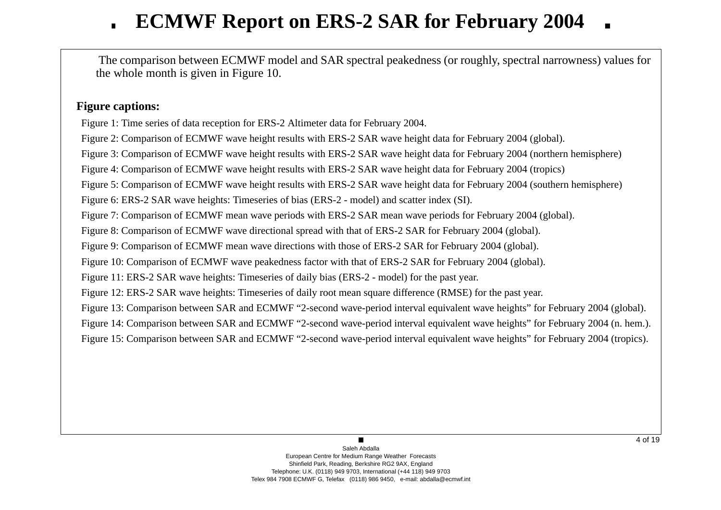The comparison between ECMWF model and SAR spectral peakedness (or roughly, spectral narrowness) values for the whole month is gi ven in Figure 10.

## **Figure captions:**

Figure 1: Time series of data reception for ERS-2 Altimeter data for February 2004.

Figure 2: Comparison of ECMWF wave height results with ERS-2 SAR wave height data for February 2004 (global).

Figure 3: Comparison of ECMWF wave height results with ERS-2 SAR wave height data for February 2004 (northern hemisphere)

Figure 4: Comparison of ECMWF wave height results with ERS-2 SAR wave height data for February 2004 (tropics)

Figure 5: Comparison of ECMWF wave height results with ERS-2 SAR wave height data for February 2004 (southern hemisphere)

Figure 6: ERS-2 SAR wave heights: Timeseries of bias (ERS-2 - model) and scatter index (SI).

Figure 7: Comparison of ECMWF mean wave periods with ERS-2 SAR mean wave periods for February 2004 (global).

Figure 8: Comparison of ECMWF wave directional spread with that of ERS-2 SAR for February 2004 (global).

Figure 9: Comparison of ECMWF mean wave directions with those of ERS-2 SAR for February 2004 (global).

Figure 10: Comparison of ECMWF wave peakedness factor with that of ERS-2 SAR for February 2004 (global).

Figure 11: ERS-2 SAR wave heights: Timeseries of daily bias (ERS-2 - model) for the past year.

Figure 12: ERS-2 SAR wave heights: Timeseries of daily root mean square difference (RMSE) for the past year.

Figure 13: Comparison between SAR and ECMWF "2-second wave-period interval equivalent wave heights" for February 2004 (global).

Figure 14: Comparison between SAR and ECMWF "2-second wave-period interval equivalent wave heights" for February 2004 (n. hem.).

Figure 15: Comparison between SAR and ECMWF "2-second wave-period interval equivalent wave heights" for February 2004 (tropics).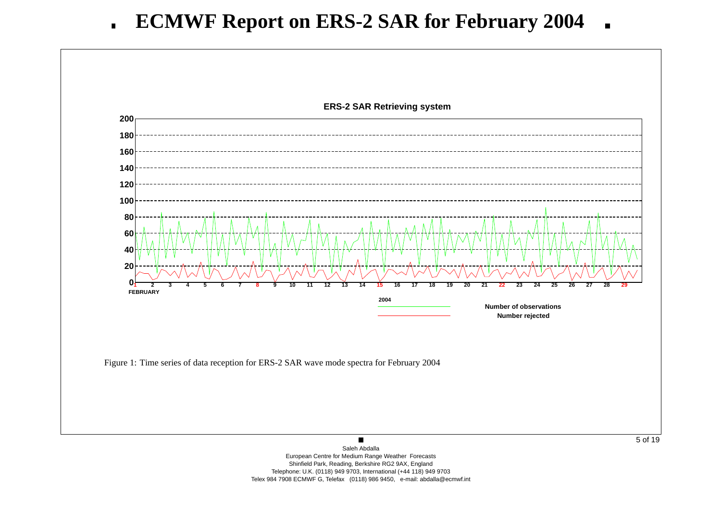

European Centre for Medium Range Weather Forecasts Shinfield Park, Reading, Berkshire RG2 9AX, England Telephone: U.K. (0118) 949 9703, International (+44 118) 949 9703 Telex 984 7908 ECMWF G, Telefax (0118) 986 9450, e-mail: abdalla@ecmwf.int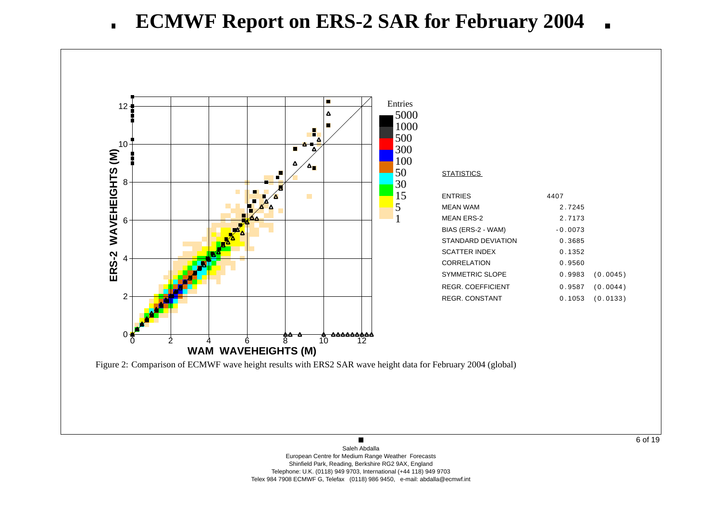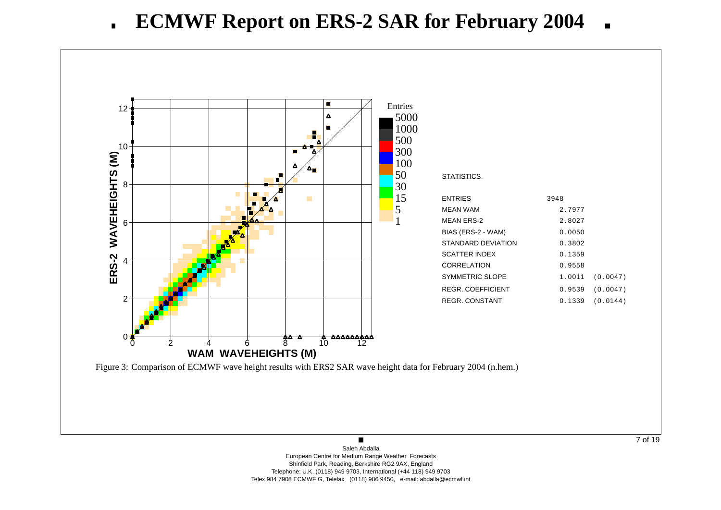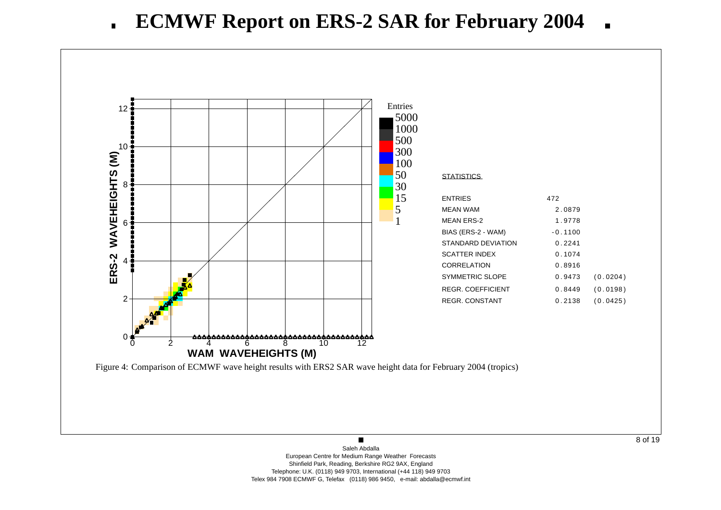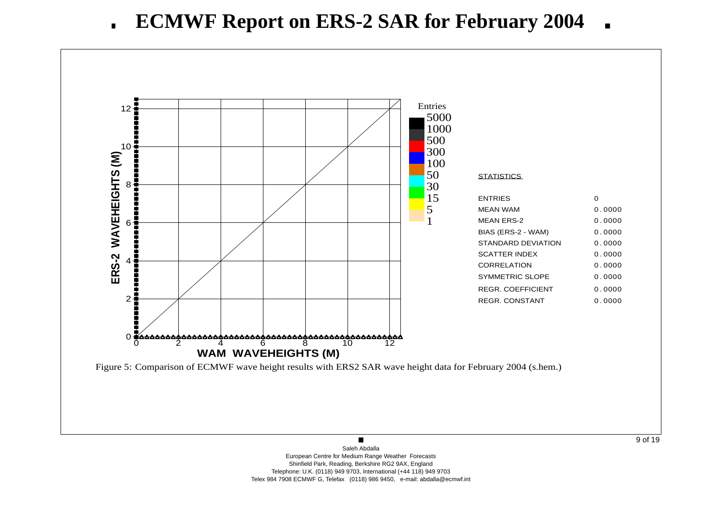

 $\blacksquare$ Saleh AbdallaEuropean Centre for Medium Range Weather Forecasts Shinfield Park, Reading, Berkshire RG2 9AX, England Telephone: U.K. (0118) 949 9703, International (+44 118) 949 9703 Telex 984 7908 ECMWF G, Telefax (0118) 986 9450, e-mail: abdalla@ecmwf.int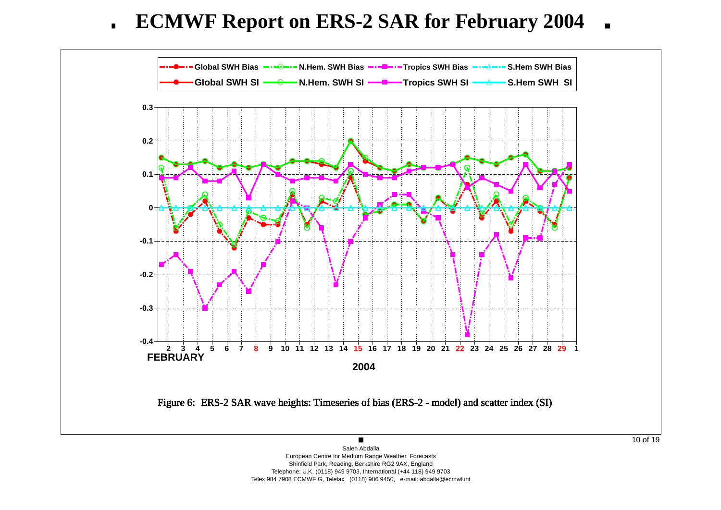**ECMWF Report on ERS-2 SAR for February 2004**  $\blacksquare$ 



European Centre for Medium Range Weather Forecasts Shinfield Park, Reading, Berkshire RG2 9AX, England Telephone: U.K. (0118) 949 9703, International (+44 118) 949 9703 Telex 984 7908 ECMWF G, Telefax (0118) 986 9450, e-mail: abdalla@ecmwf.int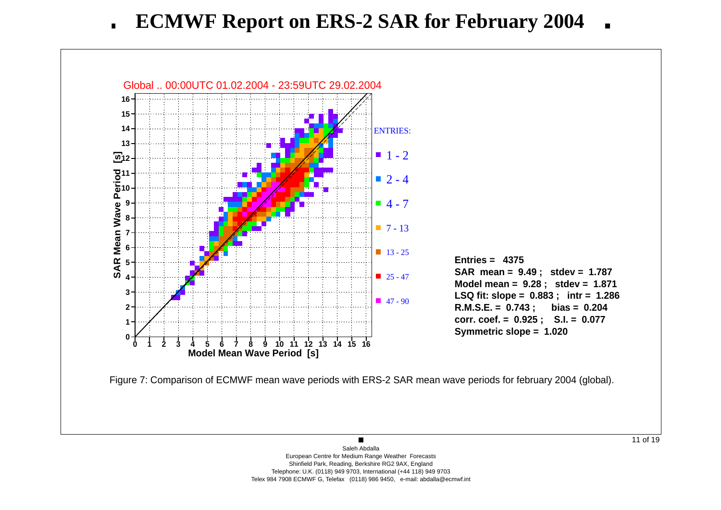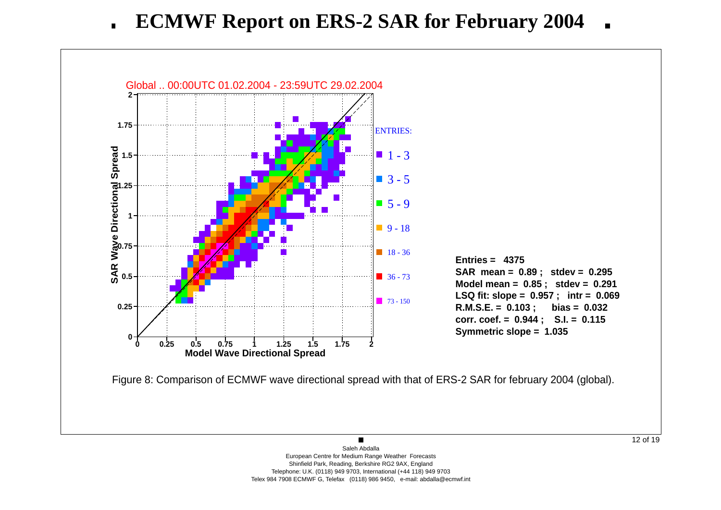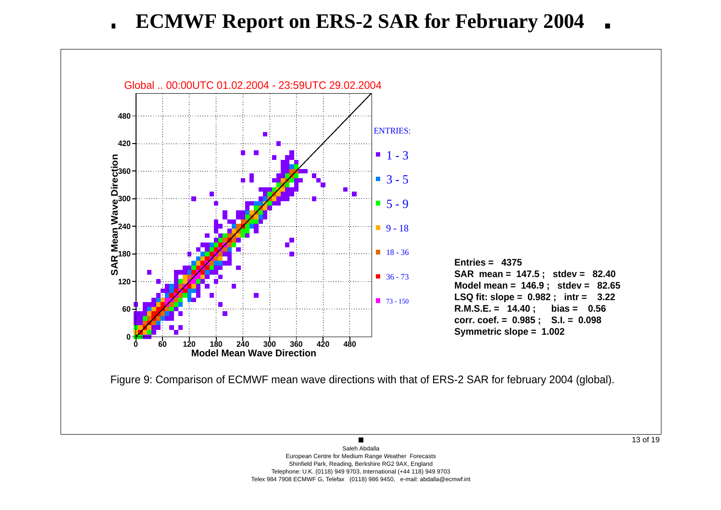**ECMWF Report on ERS-2 SAR for February 2004**  $\blacksquare$ 

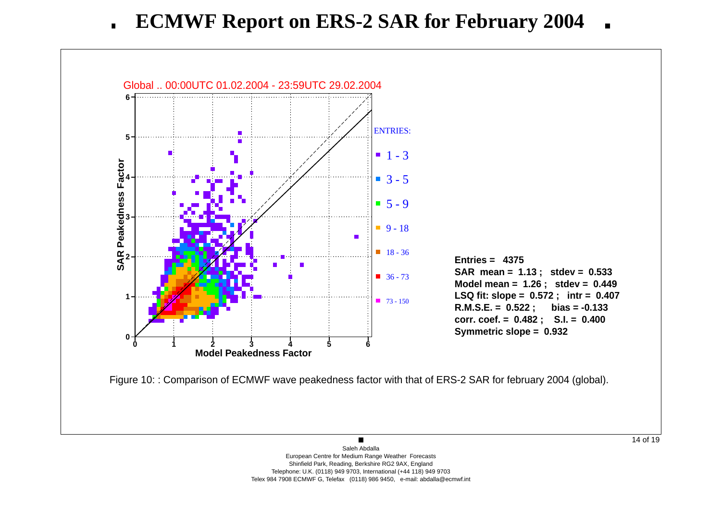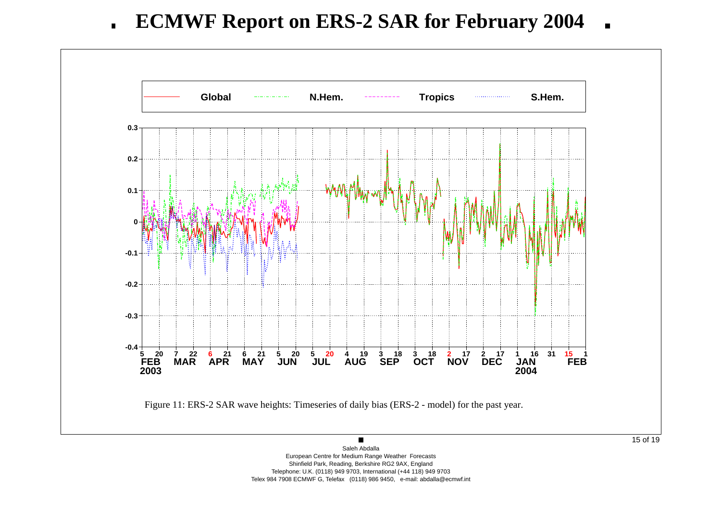**ECMWF Report on ERS-2 SAR for February 2004**  $\blacksquare$ 



European Centre for Medium Range Weather Forecasts Shinfield Park, Reading, Berkshire RG2 9AX, England Telephone: U.K. (0118) 949 9703, International (+44 118) 949 9703 Telex 984 7908 ECMWF G, Telefax (0118) 986 9450, e-mail: abdalla@ecmwf.int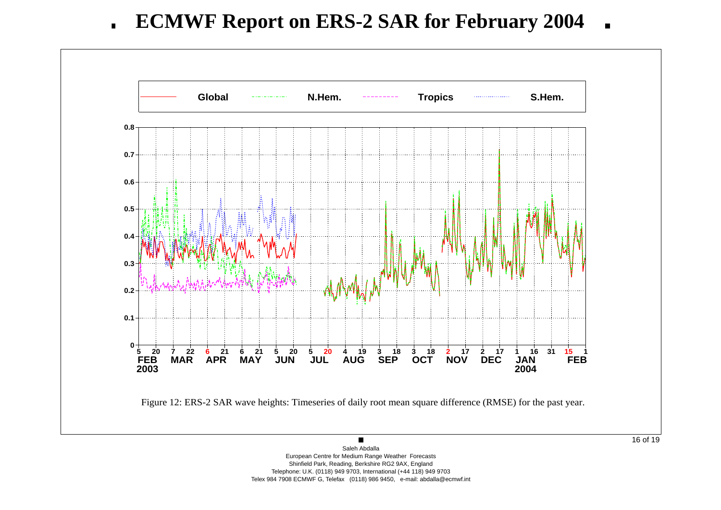**ECMWF Report on ERS-2 SAR for February 2004**  $\blacksquare$ 

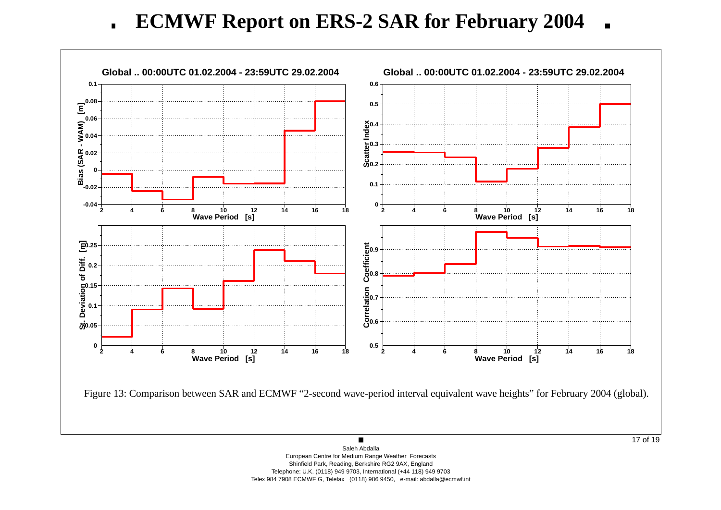**ECMWF Report on ERS-2 SAR for February 2004**  $\blacksquare$ 

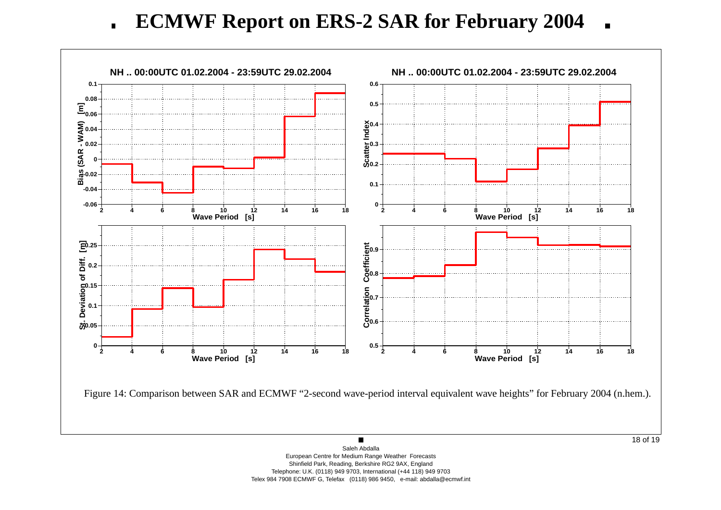**ECMWF Report on ERS-2 SAR for February 2004**  $\blacksquare$